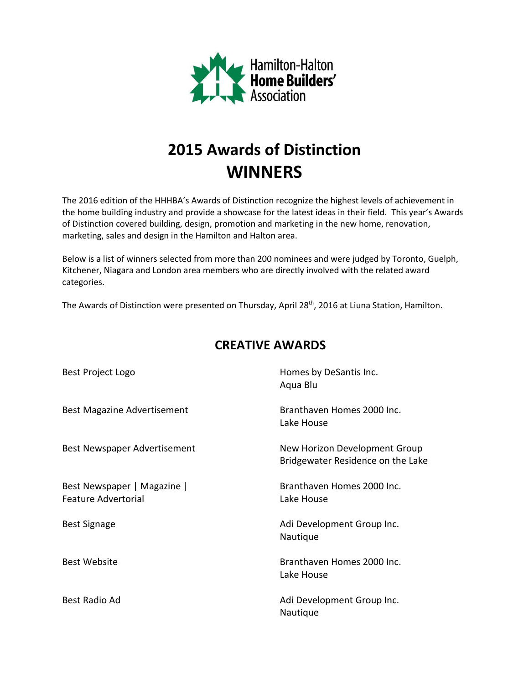

# **2015 Awards of Distinction WINNERS**

The 2016 edition of the HHHBA's Awards of Distinction recognize the highest levels of achievement in the home building industry and provide a showcase for the latest ideas in their field. This year's Awards of Distinction covered building, design, promotion and marketing in the new home, renovation, marketing, sales and design in the Hamilton and Halton area.

Below is a list of winners selected from more than 200 nominees and were judged by Toronto, Guelph, Kitchener, Niagara and London area members who are directly involved with the related award categories.

The Awards of Distinction were presented on Thursday, April 28<sup>th</sup>, 2016 at Liuna Station, Hamilton.

| Best Project Logo                                         | Homes by DeSantis Inc.<br>Aqua Blu                                 |
|-----------------------------------------------------------|--------------------------------------------------------------------|
| <b>Best Magazine Advertisement</b>                        | Branthaven Homes 2000 Inc.<br>Lake House                           |
| Best Newspaper Advertisement                              | New Horizon Development Group<br>Bridgewater Residence on the Lake |
| Best Newspaper   Magazine  <br><b>Feature Advertorial</b> | Branthaven Homes 2000 Inc.<br>Lake House                           |
| <b>Best Signage</b>                                       | Adi Development Group Inc.<br>Nautique                             |
| <b>Best Website</b>                                       | Branthaven Homes 2000 Inc.<br>Lake House                           |
| Best Radio Ad                                             | Adi Development Group Inc.<br>Nautique                             |

## **CREATIVE AWARDS**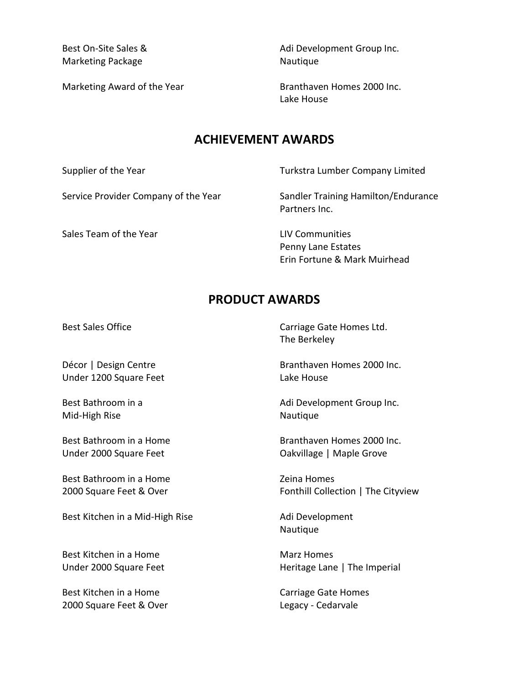Marketing Package Nautique

Marketing Award of the Year **Branthaven Homes 2000 Inc.** 

Best On-Site Sales & Adi Development Group Inc.

Lake House

### **ACHIEVEMENT AWARDS**

Supplier of the Year Turkstra Lumber Company Limited

Service Provider Company of the Year Sandler Training Hamilton/Endurance

Sales Team of the Year LIV Communities

Partners Inc.

Penny Lane Estates Erin Fortune & Mark Muirhead

## **PRODUCT AWARDS**

Under 1200 Square Feet Lake House

Mid-High Rise Nautique

Under 2000 Square Feet **Canadia** Cakvillage | Maple Grove

Best Bathroom in a Home **Example 20** Zeina Homes

Best Kitchen in a Mid-High Rise Manuel Adi Development

Best Kitchen in a Home Marz Homes

Best Kitchen in a Home Carriage Gate Homes 2000 Square Feet & Over Contract Changes Cedarvale

Best Sales Office **Carriage Gate Homes Ltd.** The Berkeley

Décor | Design Centre Branthaven Homes 2000 Inc.

Best Bathroom in a **Branch Bathroom in a** Adi Development Group Inc.

Best Bathroom in a Home Branthaven Homes 2000 Inc.

2000 Square Feet & Over Fonthill Collection | The Cityview

Nautique

Under 2000 Square Feet Heritage Lane | The Imperial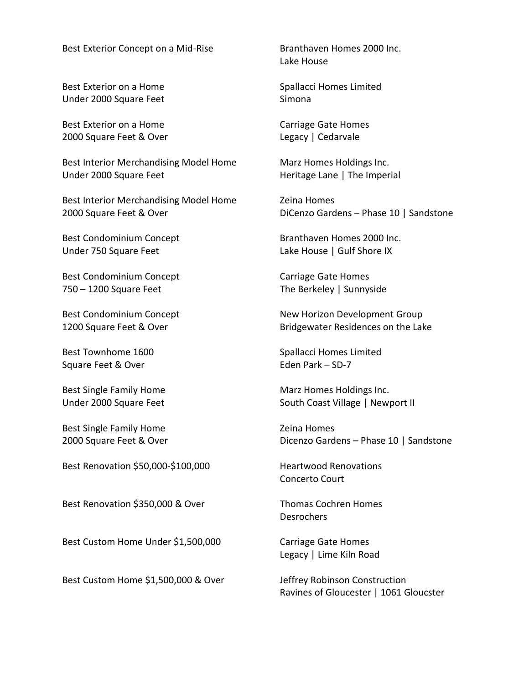Best Exterior Concept on a Mid-Rise Branthaven Homes 2000 Inc.

Best Exterior on a Home Superinted Spallacci Homes Limited Under 2000 Square Feet Simona

Best Exterior on a Home Carriage Gate Homes 2000 Square Feet & Over Legacy | Cedarvale

Best Interior Merchandising Model Home Marz Homes Holdings Inc. Under 2000 Square Feet Heritage Lane | The Imperial

Best Interior Merchandising Model Home Zeina Homes 2000 Square Feet & Over DiCenzo Gardens – Phase 10 | Sandstone

Under 750 Square Feet Lake House | Gulf Shore IX

Best Condominium Concept Carriage Gate Homes 750 – 1200 Square Feet The Berkeley | Sunnyside

Square Feet & Over Eden Park – SD-7

Best Single Family Home **Example 2** and Security 2 and Homes

Best Renovation \$50,000-\$100,000 Heartwood Renovations

Best Renovation \$350,000 & Over Thomas Cochren Homes

Best Custom Home Under \$1,500,000 Carriage Gate Homes

Best Custom Home \$1,500,000 & Over Jeffrey Robinson Construction

Lake House

Best Condominium Concept **Branthaven Homes 2000 Inc.** 

Best Condominium Concept New Horizon Development Group 1200 Square Feet & Over **Bridgewater Residences on the Lake** 

Best Townhome 1600 Spallacci Homes Limited

Best Single Family Home Marz Homes Holdings Inc. Under 2000 Square Feet South Coast Village | Newport II

2000 Square Feet & Over **Dicenzo Gardens – Phase 10** | Sandstone

Concerto Court

**Desrochers** 

Legacy | Lime Kiln Road

Ravines of Gloucester | 1061 Gloucster